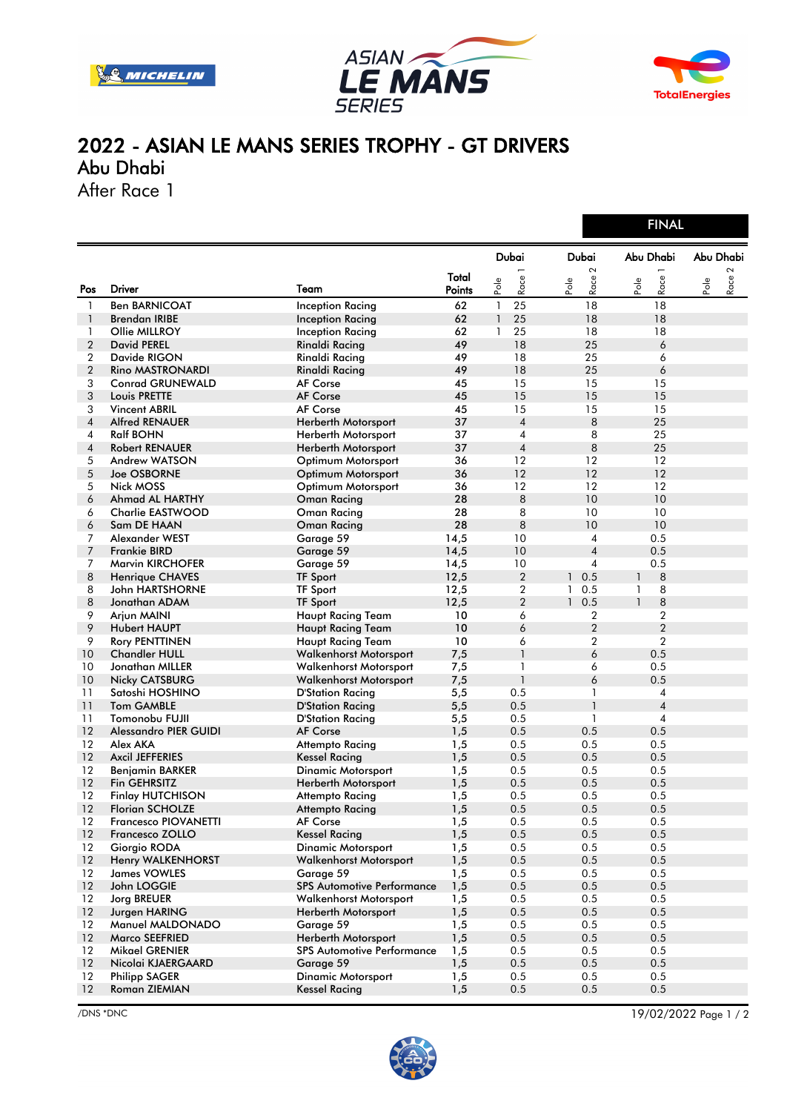





FINAL

## 2022 - ASIAN LE MANS SERIES TROPHY - GT DRIVERS Abu Dhabi

After Race 1

|                |                              |                                   |                 |                      |                  |                      |                             |              | <b>FINAL</b>   |      |           |  |
|----------------|------------------------------|-----------------------------------|-----------------|----------------------|------------------|----------------------|-----------------------------|--------------|----------------|------|-----------|--|
|                |                              |                                   |                 | <b>Dubai</b>         |                  |                      | Dubai                       |              | Abu Dhabi      |      | Abu Dhabi |  |
| Pos            | Driver                       | Team                              | Total<br>Points | $P_{\rm O} _{\rm e}$ | <b>—</b><br>Race | $P_{\rm O} _{\rm e}$ | $\boldsymbol{\sim}$<br>Race | Pole         | Race           | Pole | 2<br>Race |  |
| $\mathbf{1}$   | <b>Ben BARNICOAT</b>         | <b>Inception Racing</b>           | 62              | $\mathbf{1}$         | 25               |                      | 18                          |              | 18             |      |           |  |
| $\mathbf{1}$   | <b>Brendan IRIBE</b>         | <b>Inception Racing</b>           | 62              | $\mathbf{1}$         | 25               |                      | 18                          |              | 18             |      |           |  |
| $\mathbf{1}$   | Ollie MILLROY                | Inception Racing                  | 62              | 1                    | 25               |                      | 18                          |              | 18             |      |           |  |
| $\overline{2}$ | <b>David PEREL</b>           | <b>Rinaldi Racing</b>             | 49              |                      | 18               |                      | 25                          |              | 6              |      |           |  |
| 2              | Davide RIGON                 | <b>Rinaldi Racing</b>             | 49              |                      | 18               |                      | 25                          |              | 6              |      |           |  |
| $\overline{2}$ | <b>Rino MASTRONARDI</b>      | <b>Rinaldi Racing</b>             | 49              |                      | 18               |                      | 25                          |              | 6              |      |           |  |
| 3              | <b>Conrad GRUNEWALD</b>      | <b>AF Corse</b>                   | 45              |                      | 15               |                      | 15                          |              | 15             |      |           |  |
| 3              | Louis PRETTE                 | <b>AF Corse</b>                   | 45              |                      | 15               |                      | 15                          |              | 15             |      |           |  |
| 3              | <b>Vincent ABRIL</b>         | <b>AF Corse</b>                   | 45              |                      | 15               |                      | 15                          |              | 15             |      |           |  |
| $\overline{4}$ | <b>Alfred RENAUER</b>        | Herberth Motorsport               | 37              |                      | $\overline{4}$   |                      | 8                           |              | 25             |      |           |  |
| 4              | <b>Ralf BOHN</b>             | Herberth Motorsport               | 37              |                      | $\overline{4}$   |                      | 8                           |              | 25             |      |           |  |
| 4              | <b>Robert RENAUER</b>        | <b>Herberth Motorsport</b>        | 37              |                      | $\overline{4}$   |                      | 8                           |              | 25             |      |           |  |
| 5              | Andrew WATSON                | Optimum Motorsport                | 36              |                      | 12               |                      | 12                          |              | 12             |      |           |  |
| 5              | Joe OSBORNE                  | Optimum Motorsport                | 36              |                      | 12               |                      | 12                          |              | 12             |      |           |  |
| 5              | Nick MOSS                    | Optimum Motorsport                | 36              |                      | 12               |                      | 12                          |              | 12             |      |           |  |
| 6              | Ahmad AL HARTHY              | <b>Oman Racing</b>                | 28              |                      | 8                |                      | 10                          |              | 10             |      |           |  |
| 6              | Charlie EASTWOOD             | <b>Oman Racing</b>                | 28              |                      | 8                |                      | 10                          |              | 10             |      |           |  |
| 6              | Sam DE HAAN                  | <b>Oman Racing</b>                | 28              |                      | 8                |                      | 10                          |              | 10             |      |           |  |
| 7              | Alexander WEST               | Garage 59                         | 14,5            |                      | 10               |                      | 4                           |              | 0.5            |      |           |  |
| 7              | <b>Frankie BIRD</b>          | Garage 59                         | 14,5            |                      | 10               |                      | $\overline{4}$              |              | 0.5            |      |           |  |
| 7              | <b>Marvin KIRCHOFER</b>      | Garage 59                         | 14,5            |                      | 10               |                      | $\overline{4}$              |              | 0.5            |      |           |  |
| 8              | Henrique CHAVES              | <b>TF Sport</b>                   | 12,5            |                      | $\overline{2}$   | $\mathbf{1}$         | 0.5                         | $\mathbf{1}$ | 8              |      |           |  |
| 8              | John HARTSHORNE              | <b>TF Sport</b>                   | 12,5            |                      | $\boldsymbol{2}$ | 1                    | 0.5                         | 1            | 8              |      |           |  |
| 8              | Jonathan ADAM                | <b>TF Sport</b>                   | 12,5            |                      | $\overline{2}$   | $\mathbf{1}$         | 0.5                         | $\mathbf{1}$ | 8              |      |           |  |
| 9              | Arjun MAINI                  | <b>Haupt Racing Team</b>          | 10              |                      | 6                |                      | 2                           |              | $\overline{2}$ |      |           |  |
| 9              | <b>Hubert HAUPT</b>          | <b>Haupt Racing Team</b>          | 10              |                      | 6                |                      | $\overline{2}$              |              | $\overline{2}$ |      |           |  |
| 9              | <b>Rory PENTTINEN</b>        | Haupt Racing Team                 | 10              |                      | 6                |                      | $\overline{2}$              |              | $\overline{2}$ |      |           |  |
| 10             | <b>Chandler HULL</b>         | <b>Walkenhorst Motorsport</b>     | 7,5             |                      | $\mathbf{1}$     |                      | 6                           |              | 0.5            |      |           |  |
| 10             | Jonathan MILLER              | Walkenhorst Motorsport            | 7,5             |                      | 1                |                      | 6                           |              | 0.5            |      |           |  |
| 10             | <b>Nicky CATSBURG</b>        | Walkenhorst Motorsport            | 7,5             |                      | $\mathbf{1}$     |                      | 6                           |              | 0.5            |      |           |  |
| 11             | Satoshi HOSHINO              | D'Station Racing                  | 5,5             |                      | 0.5              |                      | 1                           |              | $\overline{4}$ |      |           |  |
| 11             | <b>Tom GAMBLE</b>            | <b>D'Station Racing</b>           | 5,5             |                      | 0.5              |                      | $\mathbf{1}$                |              | $\overline{4}$ |      |           |  |
| 11             | Tomonobu FUJII               | D'Station Racing                  | 5,5             |                      | 0.5              |                      | 1                           |              | $\overline{4}$ |      |           |  |
| 12             | <b>Alessandro PIER GUIDI</b> | <b>AF Corse</b>                   | 1,5             |                      | 0.5              |                      | 0.5                         |              | 0.5            |      |           |  |
| 12             | Alex AKA                     | Attempto Racing                   | 1,5             |                      | 0.5              |                      | 0.5                         |              | 0.5            |      |           |  |
| 12             | <b>Axcil JEFFERIES</b>       | Kessel Racing                     | 1,5             |                      | 0.5              |                      | 0.5                         |              | 0.5            |      |           |  |
| 12             | <b>Benjamin BARKER</b>       | Dinamic Motorsport                | 1,5             |                      | 0.5              |                      | 0.5                         |              | 0.5            |      |           |  |
| 12             | Fin GEHRSITZ                 | Herberth Motorsport               | 1,5             |                      | 0.5              |                      | 0.5                         |              | 0.5            |      |           |  |
| 12             | <b>Finlay HUTCHISON</b>      | Attempto Racing                   | 1,5             |                      | 0.5              |                      | 0.5                         |              | 0.5            |      |           |  |
| 12             | <b>Florian SCHOLZE</b>       | Attempto Racing                   | 1,5             |                      | 0.5              |                      | 0.5                         |              | 0.5            |      |           |  |
| 12             | <b>Francesco PIOVANETTI</b>  | <b>AF Corse</b>                   | 1,5             |                      | 0.5              |                      | 0.5                         |              | 0.5            |      |           |  |
| 12             | <b>Francesco ZOLLO</b>       | <b>Kessel Racing</b>              | 1,5             |                      | 0.5              |                      | 0.5                         |              | 0.5            |      |           |  |
| 12             | Giorgio RODA                 | <b>Dinamic Motorsport</b>         | 1,5             |                      | 0.5              |                      | 0.5                         |              | 0.5            |      |           |  |
| 12             | <b>Henry WALKENHORST</b>     | <b>Walkenhorst Motorsport</b>     | 1,5             |                      | 0.5              |                      | 0.5                         |              | 0.5            |      |           |  |
| 12             | <b>James VOWLES</b>          | Garage 59                         | 1,5             |                      | 0.5              |                      | 0.5                         |              | 0.5            |      |           |  |
| 12             | John LOGGIE                  | <b>SPS Automotive Performance</b> | 1,5             |                      | 0.5              |                      | 0.5                         |              | 0.5            |      |           |  |
| 12             | Jorg BREUER                  | <b>Walkenhorst Motorsport</b>     | 1,5             |                      | 0.5              |                      | 0.5                         |              | 0.5            |      |           |  |
| 12             | Jurgen HARING                | Herberth Motorsport               | 1,5             |                      | 0.5              |                      | 0.5                         |              | 0.5            |      |           |  |
| 12             | Manuel MALDONADO             | Garage 59                         | 1,5             |                      | 0.5              |                      | 0.5                         |              | 0.5            |      |           |  |
| 12             | <b>Marco SEEFRIED</b>        | Herberth Motorsport               | 1,5             |                      | 0.5              |                      | 0.5                         |              | 0.5            |      |           |  |
| 12             | Mikael GRENIER               | <b>SPS Automotive Performance</b> | 1,5             |                      | 0.5              |                      | 0.5                         |              | 0.5            |      |           |  |
| 12             | Nicolai KJAERGAARD           | Garage 59                         | 1,5             |                      | 0.5              |                      | 0.5                         |              | 0.5            |      |           |  |
| $12 \,$        | <b>Philipp SAGER</b>         | <b>Dinamic Motorsport</b>         | 1,5             |                      | 0.5              |                      | 0.5                         |              | 0.5            |      |           |  |
| 12             | Roman ZIEMIAN                | <b>Kessel Racing</b>              | 1,5             |                      | 0.5              |                      | 0.5                         |              | 0.5            |      |           |  |